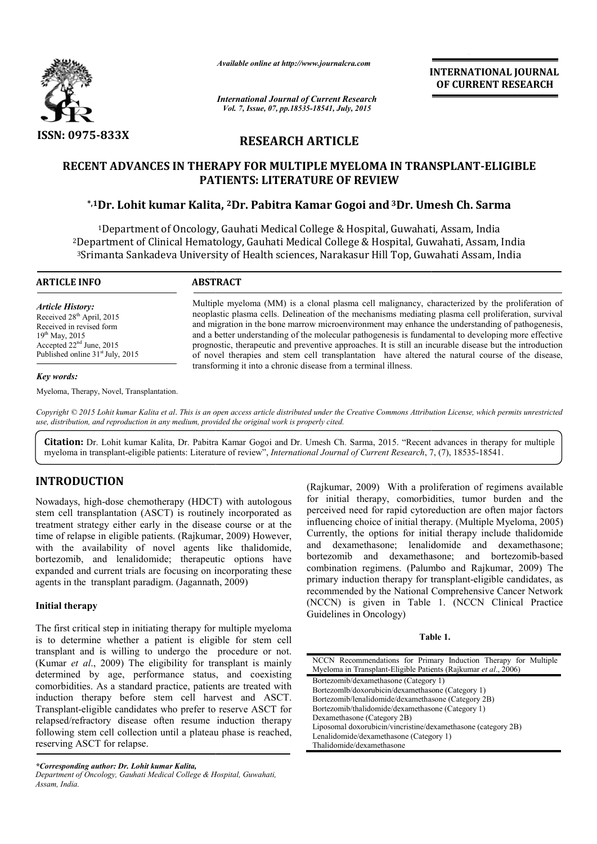

*Available online at http://www.journalcra.com*

*International Journal of Current Research Vol. 7, Issue, 07, pp.18535-18541, July, 2015*

**INTERNATIONAL INTERNATIONAL JOURNAL OF CURRENT RESEARCH** 

# **RESEARCH ARTICLE**

# **RECENT ADVANCES IN THERAPY FOR MULTIPLE MYELOMA IN TRANSPLANT RECENT TRANSPLANT-ELIGIBLE PATIENTS PATIENTS: LITERATURE OF REVIEW**

# **\*,1Dr. Lohit kumar Kalita, Dr. 2Dr. Pabitra Kamar Gogoi and 3Dr. Umesh Ch. Sarma Dr. Ch. Sarma**

1Department of Oncology, Gauhati Medical College & Hospital, Guwahati, Assam, India 2Department of Clinical Hematology, Gauhati Medical College & Hospital, Guwahati, Assam, India 3Srimanta Sankadeva University of Health sciences, Narakasur Hill Top, Guwahati Assam, India <sup>1</sup>Department of Oncology, Gauhati Medical<br>Department of Clinical Hematology, Gauhati Me<br><sup>3</sup>Srimanta Sankadeva University of Health scien , Gauhati Medical College & Hospital, Guwahati, Assam,<br>Health sciences, Narakasur Hill Top, Guwahati Assam, I

| <b>ARTICLE INFO</b>                                                                                                                                                                     | <b>ABSTRACT</b>                                                                                                                                                                                                                                                                                                                                                                                                                                                                                                                                                                                                                                                                                        |  |  |
|-----------------------------------------------------------------------------------------------------------------------------------------------------------------------------------------|--------------------------------------------------------------------------------------------------------------------------------------------------------------------------------------------------------------------------------------------------------------------------------------------------------------------------------------------------------------------------------------------------------------------------------------------------------------------------------------------------------------------------------------------------------------------------------------------------------------------------------------------------------------------------------------------------------|--|--|
| <b>Article History:</b><br>Received 28 <sup>th</sup> April, 2015<br>Received in revised form<br>$19^{th}$ May, 2015<br>Accepted $22nd$ June, 2015<br>Published online $31st$ July, 2015 | Multiple myeloma (MM) is a clonal plasma cell malignancy, characterized by the proliferation of<br>neoplastic plasma cells. Delineation of the mechanisms mediating plasma cell proliferation, survival<br>and migration in the bone marrow microenyironment may enhance the understanding of pathogenesis,<br>and a better understanding of the molecular pathogenesis is fundamental to developing more effective<br>prognostic, therapeutic and preventive approaches. It is still an incurable disease but the introduction<br>of novel therapies and stem cell transplantation have altered the natural course of the disease,<br>transforming it into a chronic disease from a terminal illness. |  |  |
| Key words:                                                                                                                                                                              |                                                                                                                                                                                                                                                                                                                                                                                                                                                                                                                                                                                                                                                                                                        |  |  |

Myeloma, Therapy, Novel, Transplantation.

*Copyright © 2015 Lohit kumar Kalita et al*. *This is an open access article distributed under the Creative Commons Att Attribution License, which ribution permits unrestricted use, distribution, and reproduction in any medium, provided the original work is properly cited.*

Citation: Dr. Lohit kumar Kalita, Dr. Pabitra Kamar Gogoi and Dr. Umesh Ch. Sarma, 2015. "Recent advances in therapy for multiple myeloma in transplant-eligible patients: Literature of review", *International Journal of Current Research*, 7, (7), 18535-18541.

# **INTRODUCTION**

Nowadays, high-dose chemotherapy (HDCT) with autologous stem cell transplantation (ASCT) is routinely incorporated as treatment strategy either early in the disease course or at the time of relapse in eligible patients. (Rajkumar, 2009) However, with the availability of novel agents like thalidomide, bortezomib, and lenalidomide; therapeutic options have expanded and current trials are focusing on incorporating these agents in the transplant paradigm. (Jagannath, 2009)

## **Initial therapy**

The first critical step in initiating therapy for multiple myeloma is to determine whether a patient is eligible for stem cell transplant and is willing to undergo the procedure or not. (Kumar *et al*., 2009) The eligibility for transplant is mainly determined by age, performance status, and coexisting comorbidities. As a standard practice, patients are treated with induction therapy before stem cell harvest and ASCT. Transplant-eligible candidates who prefer to reserve ASCT for relapsed/refractory disease often resume induction therapy following stem cell collection until a plateau phase is reached, reserving ASCT for relapse.

*\*Corresponding author: Dr. Lohit kumar Kalita,*

(Rajkumar, 2009) With a profileration of regimens available<br>
transplantation (ASCT) is routinely incorporated as<br>
perceived need for rapid cytoreduction are other major factors<br>
strategy either early in the disease course for initial therapy, comorbidities, tumor burden and the perceived need for rapid cytoreduction are often major factors influencing choice of initial therapy. (Multiple Myeloma, 2005) Currently, the options for initial therapy include thalidomide and dexamethasone; lenalidomide and dexamethasone; bortezomib and dexamethasone; and bortezomib-based combination regimens. (Palumbo and Rajkumar, 2009) The primary induction therapy for transplant-eligible candidates, as recommended by the National Comprehensive Cancer Network (NCCN) is given in Table 1. (NCCN Clinical Practice Guidelines in Oncology) r, 2009) With a proliferation of regimens available<br>1 therapy, comorbidities, tumor burden and the<br>need for rapid cytoreduction are often major factors<br>g choice of initial therapy. (Multiple Myeloma, 2005) **INTERNATIONAL JOURNAL**<br> **OF CURRENT RESEARCH**<br> **OF CURRENT RESEARCH**<br> **CALC (SECURE TRESPACHET)**<br> **CALC (SECURE TRESPACHET)**<br> **CANCE (SECURE TRESPACHET)**<br> **CAUSIDE (SECURE TRESPACHET)**<br> **CAUSE (SECURE TRESPACHET)**<br> **CAUS** 

| NCCN Recommendations for Primary Induction Therapy for Multiple |  |  |  |  |  |  |
|-----------------------------------------------------------------|--|--|--|--|--|--|
| Myeloma in Transplant-Eligible Patients (Rajkumar et al., 2006) |  |  |  |  |  |  |
| Bortezomib/dexamethasone (Category 1)                           |  |  |  |  |  |  |
| Bortezomlb/doxorubicin/dexamethasone (Category 1)               |  |  |  |  |  |  |
| Bortezomib/lenalidomide/dexamethasone (Category 2B)             |  |  |  |  |  |  |
| Bortezomib/thalidomide/dexamethasone (Category 1)               |  |  |  |  |  |  |
| Dexamethasone (Category 2B)                                     |  |  |  |  |  |  |
| Liposomal doxorubicin/vincristine/dexamethasone (category 2B)   |  |  |  |  |  |  |
| Lenalidomide/dexamethasone (Category 1)                         |  |  |  |  |  |  |
| Thalidomide/dexamethasone                                       |  |  |  |  |  |  |

*Department of Oncology, Gauhati Medical College & Hospital, Guwahati, Assam, India.*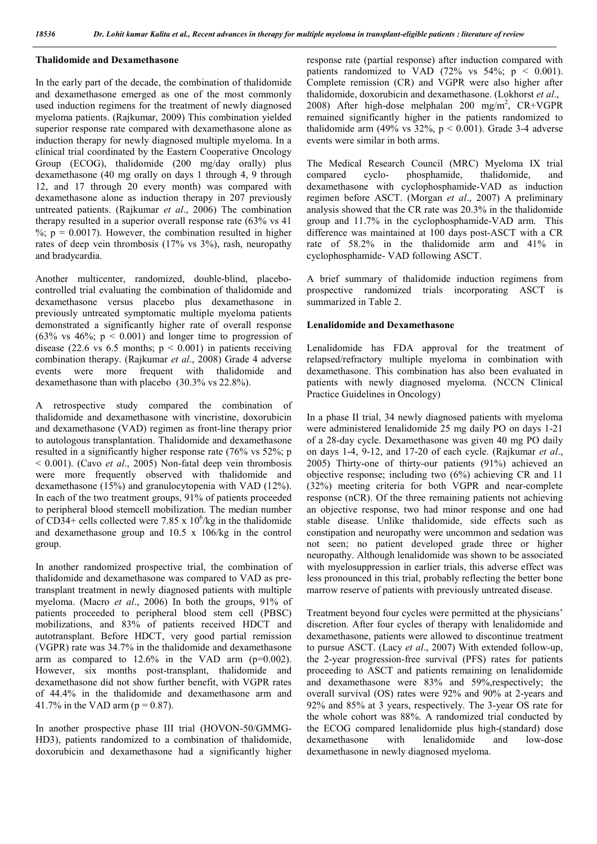### **Thalidomide and Dexamethasone**

In the early part of the decade, the combination of thalidomide and dexamethasone emerged as one of the most commonly used induction regimens for the treatment of newly diagnosed myeloma patients. (Rajkumar, 2009) This combination yielded superior response rate compared with dexamethasone alone as induction therapy for newly diagnosed multiple myeloma. In a clinical trial coordinated by the Eastern Cooperative Oncology Group (ECOG), thalidomide (200 mg/day orally) plus dexamethasone (40 mg orally on days 1 through 4, 9 through 12, and 17 through 20 every month) was compared with dexamethasone alone as induction therapy in 207 previously untreated patients. (Rajkumar *et al*., 2006) The combination therapy resulted in a superior overall response rate (63% vs 41  $\%$ ; p = 0.0017). However, the combination resulted in higher rates of deep vein thrombosis (17% vs 3%), rash, neuropathy and bradycardia.

Another multicenter, randomized, double-blind, placebocontrolled trial evaluating the combination of thalidomide and dexamethasone versus placebo plus dexamethasone in previously untreated symptomatic multiple myeloma patients demonstrated a significantly higher rate of overall response  $(63\% \text{ vs } 46\% \text{; } p \le 0.001)$  and longer time to progression of disease (22.6 vs 6.5 months;  $p < 0.001$ ) in patients receiving combination therapy. (Rajkumar *et al*., 2008) Grade 4 adverse events were more frequent with thalidomide and dexamethasone than with placebo (30.3% vs 22.8%).

A retrospective study compared the combination of thalidomide and dexamethasone with vincristine, doxorubicin and dexamethasone (VAD) regimen as front-line therapy prior to autologous transplantation. Thalidomide and dexamethasone resulted in a significantly higher response rate (76% vs 52%; p < 0.001). (Cavo *et al*., 2005) Non-fatal deep vein thrombosis were more frequently observed with thalidomide and dexamethasone (15%) and granulocytopenia with VAD (12%). In each of the two treatment groups, 91% of patients proceeded to peripheral blood stemcell mobilization. The median number of CD34+ cells collected were 7.85 x  $10^6$ /kg in the thalidomide and dexamethasone group and 10.5 x 106/kg in the control group.

In another randomized prospective trial, the combination of thalidomide and dexamethasone was compared to VAD as pretransplant treatment in newly diagnosed patients with multiple myeloma. (Macro *et al*., 2006) In both the groups, 91% of patients proceeded to peripheral blood stem cell (PBSC) mobilizations, and 83% of patients received HDCT and autotransplant. Before HDCT, very good partial remission (VGPR) rate was 34.7% in the thalidomide and dexamethasone arm as compared to  $12.6\%$  in the VAD arm (p=0.002). However, six months post-transplant, thalidomide and dexamethasone did not show further benefit, with VGPR rates of 44.4% in the thalidomide and dexamethasone arm and 41.7% in the VAD arm ( $p = 0.87$ ).

In another prospective phase III trial (HOVON-50/GMMG-HD3), patients randomized to a combination of thalidomide, doxorubicin and dexamethasone had a significantly higher response rate (partial response) after induction compared with patients randomized to VAD  $(72\% \text{ vs } 54\% \text{; } p \le 0.001)$ . Complete remission (CR) and VGPR were also higher after thalidomide, doxorubicin and dexamethasone. (Lokhorst *et al*., 2008) After high-dose melphalan 200 mg/m<sup>2</sup>,  $CR+VGPR$ remained significantly higher in the patients randomized to thalidomide arm  $(49\% \text{ vs } 32\% \text{, p} < 0.001)$ . Grade 3-4 adverse events were similar in both arms.

The Medical Research Council (MRC) Myeloma IX trial compared cyclo- phosphamide, thalidomide, and dexamethasone with cyclophosphamide-VAD as induction regimen before ASCT. (Morgan *et al*., 2007) A preliminary analysis showed that the CR rate was 20.3% in the thalidomide group and 11.7% in the cyclophosphamide-VAD arm. This difference was maintained at 100 days post-ASCT with a CR rate of 58.2% in the thalidomide arm and 41% in cyclophosphamide- VAD following ASCT.

A brief summary of thalidomide induction regimens from prospective randomized trials incorporating ASCT is summarized in Table 2.

## **Lenalidomide and Dexamethasone**

Lenalidomide has FDA approval for the treatment of relapsed/refractory multiple myeloma in combination with dexamethasone. This combination has also been evaluated in patients with newly diagnosed myeloma. (NCCN Clinical Practice Guidelines in Oncology)

In a phase II trial, 34 newly diagnosed patients with myeloma were administered lenalidomide 25 mg daily PO on days 1-21 of a 28-day cycle. Dexamethasone was given 40 mg PO daily on days 1-4, 9-12, and 17-20 of each cycle. (Rajkumar *et al*., 2005) Thirty-one of thirty-our patients (91%) achieved an objective response; including two (6%) achieving CR and 11 (32%) meeting criteria for both VGPR and near-complete response (nCR). Of the three remaining patients not achieving an objective response, two had minor response and one had stable disease. Unlike thalidomide, side effects such as constipation and neuropathy were uncommon and sedation was not seen; no patient developed grade three or higher neuropathy. Although lenalidomide was shown to be associated with myelosuppression in earlier trials, this adverse effect was less pronounced in this trial, probably reflecting the better bone marrow reserve of patients with previously untreated disease.

Treatment beyond four cycles were permitted at the physicians' discretion. After four cycles of therapy with lenalidomide and dexamethasone, patients were allowed to discontinue treatment to pursue ASCT. (Lacy *et al*., 2007) With extended follow-up, the 2-year progression-free survival (PFS) rates for patients proceeding to ASCT and patients remaining on lenalidomide and dexamethasone were 83% and 59%,respectively; the overall survival (OS) rates were 92% and 90% at 2-years and 92% and 85% at 3 years, respectively. The 3-year OS rate for the whole cohort was 88%. A randomized trial conducted by the ECOG compared lenalidomide plus high-(standard) dose dexamethasone with lenalidomide and low-dose dexamethasone in newly diagnosed myeloma.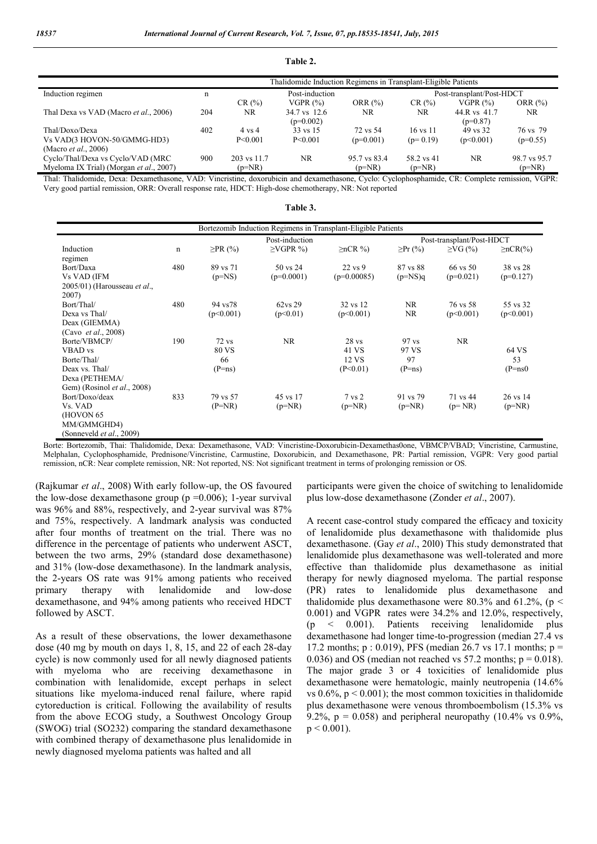**Table 2.**

|                                         |     |                   | Thalidomide Induction Regimens in Transplant-Eligible Patients |              |                           |                            |              |
|-----------------------------------------|-----|-------------------|----------------------------------------------------------------|--------------|---------------------------|----------------------------|--------------|
| Induction regimen                       | n   | Post-induction    |                                                                |              | Post-transplant/Post-HDCT |                            |              |
|                                         |     | CR(%)             | VGPR $(\%)$                                                    | ORR $(\%)$   | CR(%)                     | VGPR(%)                    | ORR $(\%)$   |
| Thal Dexa vs VAD (Macro et al., 2006)   | 204 | NR.               | 34.7 vs 12.6<br>$(p=0.002)$                                    | NR.          | NR                        | 44.R vs 41.7<br>$(p=0.87)$ | NR.          |
| Thal/Doxo/Dexa                          | 402 | $4 \text{ vs } 4$ | 33 vs 15                                                       | 72 vs 54     | $16 \text{ vs } 11$       | 49 vs 32                   | 76 ys 79     |
| Vs VAD(3 HOVON-50/GMMG-HD3)             |     | P < 0.001         | P < 0.001                                                      | $(p=0.001)$  | $(p=0.19)$                | (p<0.001)                  | $(p=0.55)$   |
| (Macro <i>et al.</i> , 2006)            |     |                   |                                                                |              |                           |                            |              |
| Cyclo/Thal/Dexa vs Cyclo/VAD (MRC)      | 900 | 203 vs 11.7       | NR.                                                            | 95.7 vs 83.4 | 58.2 vs 41                | NR.                        | 98.7 vs 95.7 |
| Myeloma IX Trial) (Morgan et al., 2007) |     | $(p=NR)$          |                                                                | $(p=NR)$     | $(p=NR)$                  |                            | $(p=NR)$     |

Thal: Thalidomide, Dexa: Dexamethasone, VAD: Vincristine, doxorubicin and dexamethasone, Cyclo: Cyclophosphamide, CR: Complete remission, VGPR: Very good partial remission, ORR: Overall response rate, HDCT: High-dose chemotherapy, NR: Not reported

|                                                  |             |               | Bortezomib Induction Regimens in Transplant-Eligible Patients |                        |                           |               |                 |
|--------------------------------------------------|-------------|---------------|---------------------------------------------------------------|------------------------|---------------------------|---------------|-----------------|
|                                                  |             |               | Post-induction                                                |                        | Post-transplant/Post-HDCT |               |                 |
| Induction                                        | $\mathbf n$ | $\geq$ PR (%) | $\geq$ VGPR %)                                                | $\geq nCR \frac{9}{0}$ | $\geq$ Pr (%)             | $\geq$ VG (%) | $\geq nCR(\% )$ |
| regimen                                          |             |               |                                                               |                        |                           |               |                 |
| Bort/Daxa                                        | 480         | 89 vs 71      | 50 vs 24                                                      | 22 vs 9                | 87 vs 88                  | 66 vs 50      | 38 vs 28        |
| <b>Vs VAD (IFM</b>                               |             | $(p=NS)$      | $(p=0.0001)$                                                  | $(p=0.00085)$          | $(p=NS)q$                 | $(p=0.021)$   | $(p=0.127)$     |
| $2005/01$ ) (Harousseau <i>et al.</i> ,<br>2007) |             |               |                                                               |                        |                           |               |                 |
| Bort/Thal/                                       | 480         | 94 vs78       | 62ys 29                                                       | 32 vs 12               | <b>NR</b>                 | 76 vs 58      | 55 vs 32        |
| Dexa vs Thal/                                    |             | (p<0.001)     | (p<0.01)                                                      | (p<0.001)              | <b>NR</b>                 | (p<0.001)     | (p<0.001)       |
| Deax (GIEMMA)                                    |             |               |                                                               |                        |                           |               |                 |
| (Cavo et al., 2008)                              |             |               |                                                               |                        |                           |               |                 |
| Borte/VBMCP/                                     | 190         | $72$ vs       | <b>NR</b>                                                     | 28 <sub>vs</sub>       | $97$ vs                   | NR.           |                 |
| <b>VBAD</b> vs                                   |             | <b>80 VS</b>  |                                                               | 41 VS                  | 97 VS                     |               | 64 VS           |
| Borte/Thal/                                      |             | 66            |                                                               | 12 VS                  | 97                        |               | 53              |
| Deax vs. Thal/                                   |             | $(P=ns)$      |                                                               | (P<0.01)               | $(P=ns)$                  |               | $(P=ns0)$       |
| Dexa (PETHEMA/                                   |             |               |                                                               |                        |                           |               |                 |
| Gem) (Rosinol et al., 2008)                      |             |               |                                                               |                        |                           |               |                 |
| Bort/Doxo/deax                                   | 833         | 79 vs 57      | 45 vs 17                                                      | $7 \text{ vs } 2$      | 91 vs 79                  | 71 vs 44      | 26 vs 14        |
| Vs. VAD                                          |             | $(P=NR)$      | $(p=NR)$                                                      | $(p=NR)$               | $(p=NR)$                  | $(p=NR)$      | $(p=NR)$        |
| (HOVON 65                                        |             |               |                                                               |                        |                           |               |                 |
| MM/GMMGHD4)                                      |             |               |                                                               |                        |                           |               |                 |
| (Sonneveld et al., 2009)                         |             |               |                                                               |                        |                           |               |                 |

Borte: Bortezomib, Thai: Thalidomide, Dexa: Dexamethasone, VAD: Vincristine-Doxorubicin-Dexamethas0one, VBMCP/VBAD; Vincristine, Carmustine, Melphalan, Cyclophosphamide, Prednisone/Vincristine, Carmustine, Doxorubicin, and Dexamethasone, PR: Partial remission, VGPR: Very good partial remission, nCR: Near complete remission, NR: Not reported, NS: Not significant treatment in terms of prolonging remission or OS.

(Rajkumar *et al*., 2008) With early follow-up, the OS favoured the low-dose dexamethasone group (p =0.006); 1-year survival was 96% and 88%, respectively, and 2-year survival was 87% and 75%, respectively. A landmark analysis was conducted after four months of treatment on the trial. There was no difference in the percentage of patients who underwent ASCT, between the two arms, 29% (standard dose dexamethasone) and 31% (low-dose dexamethasone). In the landmark analysis, the 2-years OS rate was 91% among patients who received primary therapy with lenalidomide and low-dose dexamethasone, and 94% among patients who received HDCT followed by ASCT.

As a result of these observations, the lower dexamethasone dose (40 mg by mouth on days 1, 8, 15, and 22 of each 28-day cycle) is now commonly used for all newly diagnosed patients with myeloma who are receiving dexamethasone in combination with lenalidomide, except perhaps in select situations like myeloma-induced renal failure, where rapid cytoreduction is critical. Following the availability of results from the above ECOG study, a Southwest Oncology Group (SWOG) trial (SO232) comparing the standard dexamethasone with combined therapy of dexamethasone plus lenalidomide in newly diagnosed myeloma patients was halted and all

participants were given the choice of switching to lenalidomide plus low-dose dexamethasone (Zonder *et al*., 2007).

A recent case-control study compared the efficacy and toxicity of lenalidomide plus dexamethasone with thalidomide plus dexamethasone. (Gay *et al*., 20l0) This study demonstrated that lenalidomide plus dexamethasone was well-tolerated and more effective than thalidomide plus dexamethasone as initial therapy for newly diagnosed myeloma. The partial response (PR) rates to lenalidomide plus dexamethasone and thalidomide plus dexamethasone were 80.3% and 61.2%, ( $p <$ 0.001) and VGPR rates were 34.2% and 12.0%, respectively, (p < 0.001). Patients receiving lenalidomide plus dexamethasone had longer time-to-progression (median 27.4 vs 17.2 months;  $p : 0.019$ ), PFS (median 26.7 vs 17.1 months;  $p =$ 0.036) and OS (median not reached vs  $57.2$  months;  $p = 0.018$ ). The major grade 3 or 4 toxicities of lenalidomide plus dexamethasone were hematologic, mainly neutropenia (14.6% vs  $0.6\%$ ,  $p < 0.001$ ); the most common toxicities in thalidomide plus dexamethasone were venous thromboembolism (15.3% vs 9.2%,  $p = 0.058$ ) and peripheral neuropathy (10.4% vs 0.9%,  $p < 0.001$ ).

**Table 3.**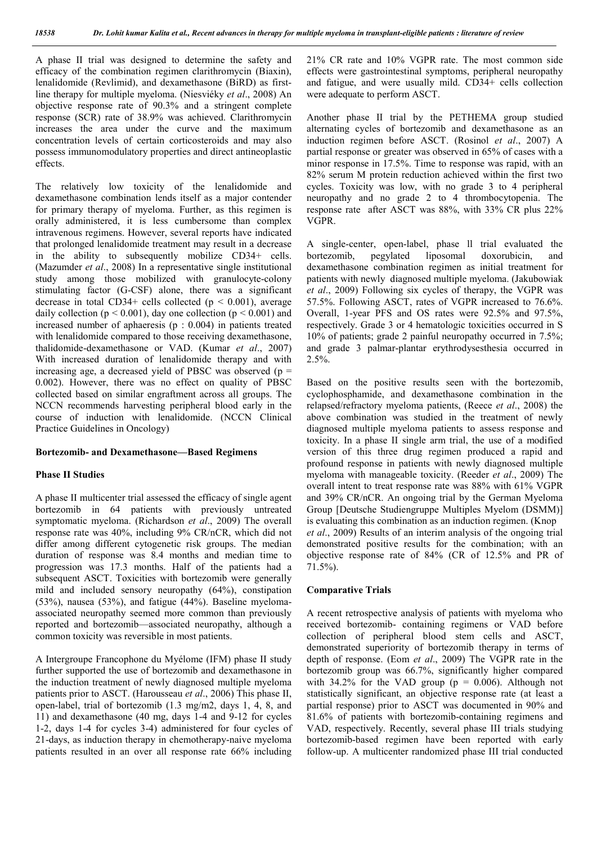A phase II trial was designed to determine the safety and efficacy of the combination regimen clarithromycin (Biaxin), lenalidomide (Revlimid), and dexamethasone (BiRD) as firstline therapy for multiple myeloma. (Niesviéky *et al*., 2008) An objective response rate of 90.3% and a stringent complete response (SCR) rate of 38.9% was achieved. Clarithromycin increases the area under the curve and the maximum concentration levels of certain corticosteroids and may also possess immunomodulatory properties and direct antineoplastic effects.

The relatively low toxicity of the lenalidomide and dexamethasone combination lends itself as a major contender for primary therapy of myeloma. Further, as this regimen is orally administered, it is less cumbersome than complex intravenous regimens. However, several reports have indicated that prolonged lenalidomide treatment may result in a decrease in the ability to subsequently mobilize CD34+ cells. (Mazumder *et al*., 2008) In a representative single institutional study among those mobilized with granulocyte-colony stimulating factor (G-CSF) alone, there was a significant decrease in total CD34+ cells collected ( $p < 0.001$ ), average daily collection ( $p < 0.001$ ), day one collection ( $p < 0.001$ ) and increased number of aphaeresis (p : 0.004) in patients treated with lenalidomide compared to those receiving dexamethasone, thalidomide-dexamethasone or VAD. (Kumar *et al*., 2007) With increased duration of lenalidomide therapy and with increasing age, a decreased yield of PBSC was observed ( $p =$ 0.002). However, there was no effect on quality of PBSC collected based on similar engraftment across all groups. The NCCN recommends harvesting peripheral blood early in the course of induction with lenalidomide. (NCCN Clinical Practice Guidelines in Oncology)

#### **Bortezomib- and Dexamethasone—Based Regimens**

### **Phase II Studies**

A phase II multicenter trial assessed the efficacy of single agent bortezomib in 64 patients with previously untreated symptomatic myeloma. (Richardson *et al*., 2009) The overall response rate was 40%, including 9% CR/nCR, which did not differ among different cytogenetic risk groups. The median duration of response was 8.4 months and median time to progression was 17.3 months. Half of the patients had a subsequent ASCT. Toxicities with bortezomib were generally mild and included sensory neuropathy (64%), constipation (53%), nausea (53%), and fatigue (44%). Baseline myelomaassociated neuropathy seemed more common than previously reported and bortezomib—associated neuropathy, although a common toxicity was reversible in most patients.

A Intergroupe Francophone du Myélome (IFM) phase II study further supported the use of bortezomib and dexamethasone in the induction treatment of newly diagnosed multiple myeloma patients prior to ASCT. (Harousseau *et al*., 2006) This phase II, open-label, trial of bortezomib (1.3 mg/m2, days 1, 4, 8, and 11) and dexamethasone (40 mg, days 1-4 and 9-12 for cycles 1-2, days 1-4 for cycles 3-4) administered for four cycles of 21-days, as induction therapy in chemotherapy-naive myeloma patients resulted in an over all response rate 66% including 21% CR rate and 10% VGPR rate. The most common side effects were gastrointestinal symptoms, peripheral neuropathy and fatigue, and were usually mild. CD34+ cells collection were adequate to perform ASCT.

Another phase II trial by the PETHEMA group studied alternating cycles of bortezomib and dexamethasone as an induction regimen before ASCT. (Rosinol *et al*., 2007) A partial response or greater was observed in 65% of cases with a minor response in 17.5%. Time to response was rapid, with an 82% serum M protein reduction achieved within the first two cycles. Toxicity was low, with no grade 3 to 4 peripheral neuropathy and no grade 2 to 4 thrombocytopenia. The response rate after ASCT was 88%, with 33% CR plus 22% VGPR.

A single-center, open-label, phase ll trial evaluated the bortezomib, pegylated liposomal doxorubicin, and dexamethasone combination regimen as initial treatment for patients with newly diagnosed multiple myeloma. (Jakubowiak *et al*., 2009) Following six cycles of therapy, the VGPR was 57.5%. Following ASCT, rates of VGPR increased to 76.6%. Overall, 1-year PFS and OS rates were 92.5% and 97.5%, respectively. Grade 3 or 4 hematologic toxicities occurred in S 10% of patients; grade 2 painful neuropathy occurred in 7.5%; and grade 3 palmar-plantar erythrodysesthesia occurred in 2.5%.

Based on the positive results seen with the bortezomib, cyclophosphamide, and dexamethasone combination in the relapsed/refractory myeloma patients, (Reece *et al*., 2008) the above combination was studied in the treatment of newly diagnosed multiple myeloma patients to assess response and toxicity. In a phase II single arm trial, the use of a modified version of this three drug regimen produced a rapid and profound response in patients with newly diagnosed multiple myeloma with manageable toxicity. (Reeder *et al*., 2009) The overall intent to treat response rate was 88% with 61% VGPR and 39% CR/nCR. An ongoing trial by the German Myeloma Group [Deutsche Studiengruppe Multiples Myelom (DSMM)] is evaluating this combination as an induction regimen. (Knop *et al*., 2009) Results of an interim analysis of the ongoing trial demonstrated positive results for the combination; with an objective response rate of 84% (CR of 12.5% and PR of 71.5%).

### **Comparative Trials**

A recent retrospective analysis of patients with myeloma who received bortezomib- containing regimens or VAD before collection of peripheral blood stem cells and ASCT, demonstrated superiority of bortezomib therapy in terms of depth of response. (Eom *et al*., 2009) The VGPR rate in the bortezomib group was 66.7%, significantly higher compared with 34.2% for the VAD group ( $p = 0.006$ ). Although not statistically significant, an objective response rate (at least a partial response) prior to ASCT was documented in 90% and 81.6% of patients with bortezomib-containing regimens and VAD, respectively. Recently, several phase III trials studying bortezomib-based regimen have been reported with early follow-up. A multicenter randomized phase III trial conducted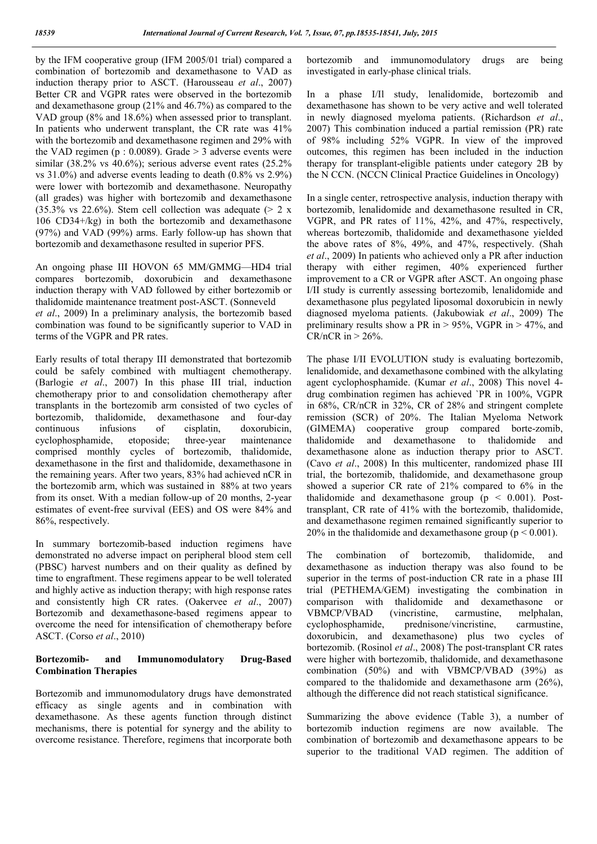by the IFM cooperative group (IFM 2005/01 trial) compared a combination of bortezomib and dexamethasone to VAD as induction therapy prior to ASCT. (Harousseau *et al*., 2007) Better CR and VGPR rates were observed in the bortezomib and dexamethasone group (21% and 46.7%) as compared to the VAD group (8% and 18.6%) when assessed prior to transplant. In patients who underwent transplant, the CR rate was 41% with the bortezomib and dexamethasone regimen and 29% with the VAD regimen (p  $: 0.0089$ ). Grade  $> 3$  adverse events were similar (38.2% vs 40.6%); serious adverse event rates (25.2% vs 31.0%) and adverse events leading to death (0.8% vs 2.9%) were lower with bortezomib and dexamethasone. Neuropathy (all grades) was higher with bortezomib and dexamethasone  $(35.3\% \text{ vs } 22.6\%)$ . Stem cell collection was adequate (> 2 x 106 CD34+/kg) in both the bortezomib and dexamethasone (97%) and VAD (99%) arms. Early follow-up has shown that bortezomib and dexamethasone resulted in superior PFS.

An ongoing phase III HOVON 65 MM/GMMG—HD4 trial compares bortezomib, doxorubicin and dexamethasone induction therapy with VAD followed by either bortezomib or thalidomide maintenance treatment post-ASCT. (Sonneveld *et al*., 2009) In a preliminary analysis, the bortezomib based combination was found to be significantly superior to VAD in terms of the VGPR and PR rates.

Early results of total therapy III demonstrated that bortezomib could be safely combined with multiagent chemotherapy. (Barlogie *et al*., 2007) In this phase III trial, induction chemotherapy prior to and consolidation chemotherapy after transplants in the bortezomib arm consisted of two cycles of bortezomib, thalidomide, dexamethasone and four-day continuous infusions of cisplatin, doxorubicin, cyclophosphamide, etoposide; three-year maintenance comprised monthly cycles of bortezomib, thalidomide, dexamethasone in the first and thalidomide, dexamethasone in the remaining years. After two years, 83% had achieved nCR in the bortezomib arm, which was sustained in 88% at two years from its onset. With a median follow-up of 20 months, 2-year estimates of event-free survival (EES) and OS were 84% and 86%, respectively.

In summary bortezomib-based induction regimens have demonstrated no adverse impact on peripheral blood stem cell (PBSC) harvest numbers and on their quality as defined by time to engraftment. These regimens appear to be well tolerated and highly active as induction therapy; with high response rates and consistently high CR rates. (Oakervee *et al*., 2007) Bortezomib and dexamethasone-based regimens appear to overcome the need for intensification of chemotherapy before ASCT. (Corso *et al*., 2010)

## **Bortezomib- and Immunomodulatory Drug-Based Combination Therapies**

Bortezomib and immunomodulatory drugs have demonstrated efficacy as single agents and in combination with dexamethasone. As these agents function through distinct mechanisms, there is potential for synergy and the ability to overcome resistance. Therefore, regimens that incorporate both

bortezomib and immunomodulatory drugs are being investigated in early-phase clinical trials.

In a phase I/Il study, lenalidomide, bortezomib and dexamethasone has shown to be very active and well tolerated in newly diagnosed myeloma patients. (Richardson *et al*., 2007) This combination induced a partial remission (PR) rate of 98% including 52% VGPR. In view of the improved outcomes, this regimen has been included in the induction therapy for transplant-eligible patients under category 2B by the N CCN. (NCCN Clinical Practice Guidelines in Oncology)

In a single center, retrospective analysis, induction therapy with bortezomib, lenalidomide and dexamethasone resulted in CR, VGPR, and PR rates of 11%, 42%, and 47%, respectively, whereas bortezomib, thalidomide and dexamethasone yielded the above rates of 8%, 49%, and 47%, respectively. (Shah *et al*., 2009) In patients who achieved only a PR after induction therapy with either regimen, 40% experienced further improvement to a CR or VGPR after ASCT. An ongoing phase I/II study is currently assessing bortezomib, lenalidomide and dexamethasone plus pegylated liposomal doxorubicin in newly diagnosed myeloma patients. (Jakubowiak *et al*., 2009) The preliminary results show a PR in  $> 95\%$ , VGPR in  $> 47\%$ , and CR/nCR in  $> 26\%$ .

The phase I/II EVOLUTION study is evaluating bortezomib, lenalidomide, and dexamethasone combined with the alkylating agent cyclophosphamide. (Kumar *et al*., 2008) This novel 4 drug combination regimen has achieved `PR in 100%, VGPR in 68%, CR/nCR in 32%, CR of 28% and stringent complete remission (SCR) of 20%. The Italian Myeloma Network (GIMEMA) cooperative group compared borte-zomib, thalidomide and dexamethasone to thalidomide and dexamethasone alone as induction therapy prior to ASCT. (Cavo *et al*., 2008) In this multicenter, randomized phase III trial, the bortezomib, thalidomide, and dexamethasone group showed a superior CR rate of 21% compared to 6% in the thalidomide and dexamethasone group  $(p < 0.001)$ . Posttransplant, CR rate of 41% with the bortezomib, thalidomide, and dexamethasone regimen remained significantly superior to 20% in the thalidomide and dexamethasone group ( $p \le 0.001$ ).

The combination of bortezomib, thalidomide, and dexamethasone as induction therapy was also found to be superior in the terms of post-induction CR rate in a phase III trial (PETHEMA/GEM) investigating the combination in comparison with thalidomide and dexamethasone or VBMCP/VBAD (vincristine, carmustine, melphalan, cyclophosphamide, prednisone/vincristine, carmustine, doxorubicin, and dexamethasone) plus two cycles of bortezomib. (Rosinol *et al*., 2008) The post-transplant CR rates were higher with bortezomib, thalidomide, and dexamethasone combination (50%) and with VBMCP/VBAD (39%) as compared to the thalidomide and dexamethasone arm (26%), although the difference did not reach statistical significance.

Summarizing the above evidence (Table 3), a number of bortezomib induction regimens are now available. The combination of bortezomib and dexamethasone appears to be superior to the traditional VAD regimen. The addition of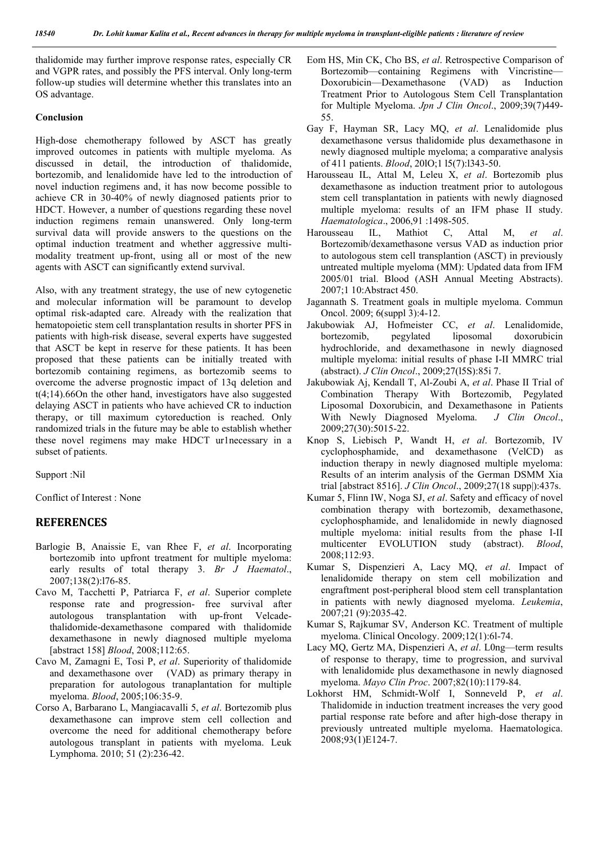thalidomide may further improve response rates, especially CR and VGPR rates, and possibly the PFS interval. Only long-term follow-up studies will determine whether this translates into an OS advantage.

### **Conclusion**

High-dose chemotherapy followed by ASCT has greatly improved outcomes in patients with multiple myeloma. As discussed in detail, the introduction of thalidomide, bortezomib, and lenalidomide have led to the introduction of novel induction regimens and, it has now become possible to achieve CR in 30-40% of newly diagnosed patients prior to HDCT. However, a number of questions regarding these novel induction regimens remain unanswered. Only long-term survival data will provide answers to the questions on the optimal induction treatment and whether aggressive multimodality treatment up-front, using all or most of the new agents with ASCT can significantly extend survival.

Also, with any treatment strategy, the use of new cytogenetic and molecular information will be paramount to develop optimal risk-adapted care. Already with the realization that hematopoietic stem cell transplantation results in shorter PFS in patients with high-risk disease, several experts have suggested that ASCT be kept in reserve for these patients. It has been proposed that these patients can be initially treated with bortezomib containing regimens, as bortezomib seems to overcome the adverse prognostic impact of 13q deletion and t(4;14).66On the other hand, investigators have also suggested delaying ASCT in patients who have achieved CR to induction therapy, or till maximum cytoreduction is reached. Only randomized trials in the future may be able to establish whether these novel regimens may make HDCT ur1necessary in a subset of patients.

Support :Nil

Conflict of Interest : None

## **REFERENCES**

- Barlogie B, Anaissie E, van Rhee F, *et al*. Incorporating bortezomib into upfront treatment for multiple myeloma: early results of total therapy 3. *Br J Haematol*., 2007;138(2):l76-85.
- Cavo M, Tacchetti P, Patriarca F, *et al*. Superior complete response rate and progression- free survival after autologous transplantation with up-front Velcadethalidomide-dexamethasone compared with thalidomide dexamethasone in newly diagnosed multiple myeloma [abstract 158] *Blood*, 2008;112:65.
- Cavo M, Zamagni E, Tosi P, *et al*. Superiority of thalidomide and dexamethasone over (VAD) as primary therapy in preparation for autologous tranaplantation for multiple myeloma. *Blood*, 2005;106:35-9.
- Corso A, Barbarano L, Mangiacavalli 5, *et al*. Bortezomib plus dexamethasone can improve stem cell collection and overcome the need for additional chemotherapy before autologous transplant in patients with myeloma. Leuk Lymphoma. 2010; 51 (2):236-42.
- Eom HS, Min CK, Cho BS, *et al*. Retrospective Comparison of Bortezomib—containing Regimens with Vincristine— Doxorubicin—Dexamethasone (VAD) as Induction Treatment Prior to Autologous Stem Cell Transplantation for Multiple Myeloma. *Jpn J Clin Oncol*., 2009;39(7)449- 55.
- Gay F, Hayman SR, Lacy MQ, *et al*. Lenalidomide plus dexamethasone versus thalidomide plus dexamethasone in newly diagnosed multiple myeloma; a comparative analysis of 411 patients. *Blood*, 20lO;1 l5(7):l343-50.
- Harousseau IL, Attal M, Leleu X, *et al*. Bortezomib plus dexamethasone as induction treatment prior to autologous stem cell transplantation in patients with newly diagnosed multiple myeloma: results of an IFM phase II study. *Haematologica*., 2006,91 :1498-505.
- Harousseau IL, Mathiot C, Attal M, *et al*. Bortezomib/dexamethasone versus VAD as induction prior to autologous stem cell transplantion (ASCT) in previously untreated multiple myeloma (MM): Updated data from IFM 2005/01 trial. Blood (ASH Annual Meeting Abstracts). 2007;1 10:Abstract 450.
- Jagannath S. Treatment goals in multiple myeloma. Commun Oncol. 2009; 6(suppl 3):4-12.
- Jakubowiak AJ, Hofmeister CC, *et al*. Lenalidomide, bortezomib, pegylated liposomal doxorubicin hydrochloride, and dexamethasone in newly diagnosed multiple myeloma: initial results of phase I-II MMRC trial (abstract). *J Clin Oncol*., 2009;27(l5S):85i 7.
- Jakubowiak Aj, Kendall T, Al-Zoubi A, *et al*. Phase II Trial of Combination Therapy With Bortezomib, Pegylated Liposomal Doxorubicin, and Dexamethasone in Patients With Newly Diagnosed Myeloma. *J Clin Oncol*., 2009;27(30):5015-22.
- Knop S, Liebisch P, Wandt H, *et al*. Bortezomib, IV cyclophosphamide, and dexamethasone (VelCD) as induction therapy in newly diagnosed multiple myeloma: Results of an interim analysis of the German DSMM Xia trial [abstract 8516]. *J Clin Oncol*., 2009;27(18 supp|):437s.
- Kumar 5, Flinn IW, Noga SJ, *et al*. Safety and efficacy of novel combination therapy with bortezomib, dexamethasone, cyclophosphamide, and lenalidomide in newly diagnosed multiple myeloma: initial results from the phase I-II multicenter EVOLUTION study (abstract). *Blood*, 2008;112:93.
- Kumar S, Dispenzieri A, Lacy MQ, *et al*. Impact of lenalidomide therapy on stem cell mobilization and engraftment post-peripheral blood stem cell transplantation in patients with newly diagnosed myeloma. *Leukemia*, 2007;21 (9):2035-42.
- Kumar S, Rajkumar SV, Anderson KC. Treatment of multiple myeloma. Clinical Oncology. 2009;12(1):6l-74.
- Lacy MQ, Gertz MA, Dispenzieri A, *et al*. L0ng—term results of response to therapy, time to progression, and survival with lenalidomide plus dexamethasone in newly diagnosed myeloma. *Mayo Clin Proc*. 2007;82(10):1179-84.
- Lokhorst HM, Schmidt-Wolf I, Sonneveld P, *et al*. Thalidomide in induction treatment increases the very good partial response rate before and after high-dose therapy in previously untreated multiple myeloma. Haematologica. 2008;93(1)E124-7.